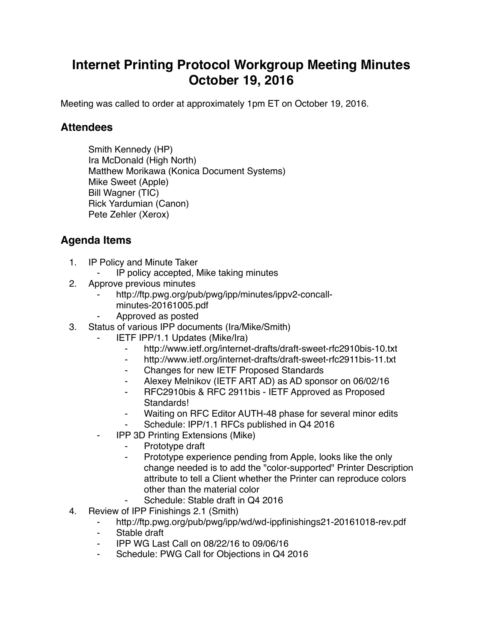## **Internet Printing Protocol Workgroup Meeting Minutes October 19, 2016**

Meeting was called to order at approximately 1pm ET on October 19, 2016.

## **Attendees**

Smith Kennedy (HP) Ira McDonald (High North) Matthew Morikawa (Konica Document Systems) Mike Sweet (Apple) Bill Wagner (TIC) Rick Yardumian (Canon) Pete Zehler (Xerox)

## **Agenda Items**

- 1. IP Policy and Minute Taker
	- IP policy accepted, Mike taking minutes
- 2. Approve previous minutes
	- http://ftp.pwg.org/pub/pwg/ipp/minutes/ippv2-concallminutes-20161005.pdf
	- ⁃ Approved as posted
- 3. Status of various IPP documents (Ira/Mike/Smith)
	- **IETF IPP/1.1 Updates (Mike/Ira)** 
		- ⁃ http://www.ietf.org/internet-drafts/draft-sweet-rfc2910bis-10.txt
		- ⁃ http://www.ietf.org/internet-drafts/draft-sweet-rfc2911bis-11.txt
		- ⁃ Changes for new IETF Proposed Standards
		- Alexey Melnikov (IETF ART AD) as AD sponsor on 06/02/16
		- ⁃ RFC2910bis & RFC 2911bis IETF Approved as Proposed Standards!
		- ⁃ Waiting on RFC Editor AUTH-48 phase for several minor edits
		- Schedule: IPP/1.1 RFCs published in Q4 2016
	- **IPP 3D Printing Extensions (Mike)** 
		- Prototype draft
			- Prototype experience pending from Apple, looks like the only change needed is to add the "color-supported" Printer Description attribute to tell a Client whether the Printer can reproduce colors other than the material color
			- Schedule: Stable draft in Q4 2016
- 4. Review of IPP Finishings 2.1 (Smith)
	- ⁃ http://ftp.pwg.org/pub/pwg/ipp/wd/wd-ippfinishings21-20161018-rev.pdf
	- Stable draft
	- ⁃ IPP WG Last Call on 08/22/16 to 09/06/16
	- Schedule: PWG Call for Objections in Q4 2016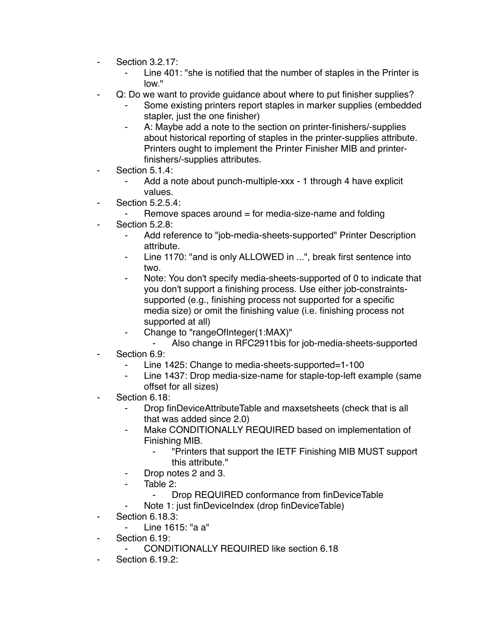- ⁃ Section 3.2.17:
	- Line 401: "she is notified that the number of staples in the Printer is low."
- Q: Do we want to provide guidance about where to put finisher supplies?
	- Some existing printers report staples in marker supplies (embedded stapler, just the one finisher)
	- ⁃ A: Maybe add a note to the section on printer-finishers/-supplies about historical reporting of staples in the printer-supplies attribute. Printers ought to implement the Printer Finisher MIB and printerfinishers/-supplies attributes.
- Section 5.1.4:
	- ⁃ Add a note about punch-multiple-xxx 1 through 4 have explicit values.
- Section 5.2.5.4:
	- Remove spaces around  $=$  for media-size-name and folding
- Section 5.2.8:
	- ⁃ Add reference to "job-media-sheets-supported" Printer Description attribute.
	- Line 1170: "and is only ALLOWED in ...", break first sentence into two.
	- Note: You don't specify media-sheets-supported of 0 to indicate that you don't support a finishing process. Use either job-constraintssupported (e.g., finishing process not supported for a specific media size) or omit the finishing value (i.e. finishing process not supported at all)
	- ⁃ Change to "rangeOfInteger(1:MAX)"
	- ⁃ Also change in RFC2911bis for job-media-sheets-supported Section 6.9:
		- Line 1425: Change to media-sheets-supported=1-100
		- Line 1437: Drop media-size-name for staple-top-left example (same offset for all sizes)
- Section 6.18:
	- Drop finDeviceAttributeTable and maxsetsheets (check that is all that was added since 2.0)
	- Make CONDITIONALLY REQUIRED based on implementation of Finishing MIB.
		- ⁃ "Printers that support the IETF Finishing MIB MUST support this attribute."
	- Drop notes 2 and 3.
	- Table 2:
		- ⁃ Drop REQUIRED conformance from finDeviceTable
	- ⁃ Note 1: just finDeviceIndex (drop finDeviceTable)
- **Section 6.18.3:** 
	- Line 1615: "a a"
- Section 6.19:
	- CONDITIONALLY REQUIRED like section 6.18
- **Section 6.19.2:**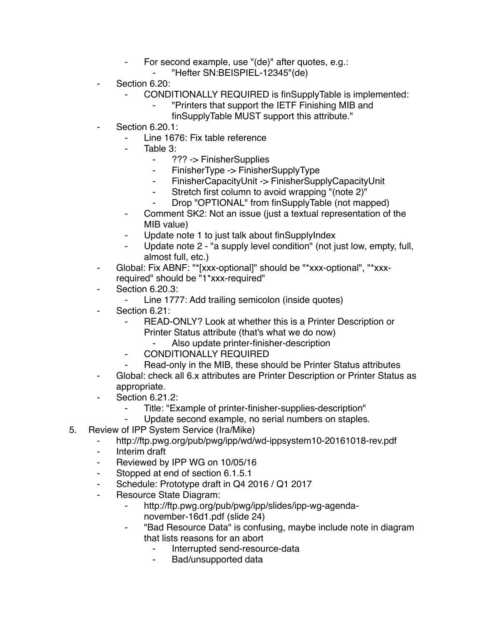- ⁃ For second example, use "(de)" after quotes, e.g.:
	- ⁃ "Hefter SN:BEISPIEL-12345"(de)
- Section 6.20:
	- CONDITIONALLY REQUIRED is finSupplyTable is implemented:
		- ⁃ "Printers that support the IETF Finishing MIB and
		- finSupplyTable MUST support this attribute."
- **Section 6.20.1:** 
	- Line 1676: Fix table reference
	- Table 3:
		- ⁃ ??? -> FinisherSupplies
		- ⁃ FinisherType -> FinisherSupplyType
		- ⁃ FinisherCapacityUnit -> FinisherSupplyCapacityUnit
		- Stretch first column to avoid wrapping "(note 2)"
		- Drop "OPTIONAL" from finSupplyTable (not mapped)
	- ⁃ Comment SK2: Not an issue (just a textual representation of the MIB value)
	- Update note 1 to just talk about finSupplyIndex
	- Update note 2 "a supply level condition" (not just low, empty, full, almost full, etc.)
- ⁃ Global: Fix ABNF: "\*[xxx-optional]" should be "\*xxx-optional", "\*xxxrequired" should be "1\*xxx-required"
- **Section 6.20.3:** 
	- ⁃ Line 1777: Add trailing semicolon (inside quotes)
- Section 6.21:
	- READ-ONLY? Look at whether this is a Printer Description or Printer Status attribute (that's what we do now)
		- ⁃ Also update printer-finisher-description
	- CONDITIONALLY REQUIRED
	- Read-only in the MIB, these should be Printer Status attributes
- ⁃ Global: check all 6.x attributes are Printer Description or Printer Status as appropriate.
- ⁃ Section 6.21.2:
	- Title: "Example of printer-finisher-supplies-description"
	- ⁃ Update second example, no serial numbers on staples.
- 5. Review of IPP System Service (Ira/Mike)
	- http://ftp.pwg.org/pub/pwg/ipp/wd/wd-ippsystem10-20161018-rev.pdf
	- ⁃ Interim draft
	- Reviewed by IPP WG on 10/05/16
	- Stopped at end of section 6.1.5.1
	- ⁃ Schedule: Prototype draft in Q4 2016 / Q1 2017
	- ⁃ Resource State Diagram:
		- ⁃ http://ftp.pwg.org/pub/pwg/ipp/slides/ipp-wg-agendanovember-16d1.pdf (slide 24)
		- ⁃ "Bad Resource Data" is confusing, maybe include note in diagram that lists reasons for an abort
			- Interrupted send-resource-data
			- ⁃ Bad/unsupported data